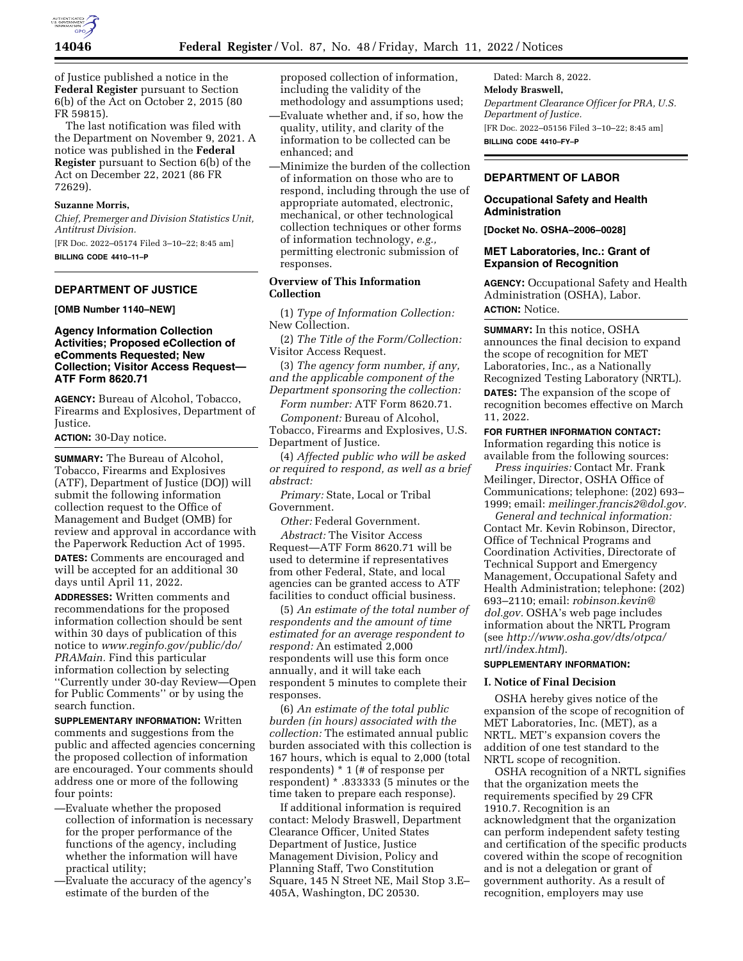

of Justice published a notice in the **Federal Register** pursuant to Section 6(b) of the Act on October 2, 2015 (80 FR 59815).

The last notification was filed with the Department on November 9, 2021. A notice was published in the **Federal Register** pursuant to Section 6(b) of the Act on December 22, 2021 (86 FR 72629).

### **Suzanne Morris,**

*Chief, Premerger and Division Statistics Unit, Antitrust Division.* 

[FR Doc. 2022–05174 Filed 3–10–22; 8:45 am] **BILLING CODE 4410–11–P** 

### **DEPARTMENT OF JUSTICE**

**[OMB Number 1140–NEW]** 

### **Agency Information Collection Activities; Proposed eCollection of eComments Requested; New Collection; Visitor Access Request— ATF Form 8620.71**

**AGENCY:** Bureau of Alcohol, Tobacco, Firearms and Explosives, Department of Justice.

**ACTION:** 30-Day notice.

**SUMMARY:** The Bureau of Alcohol, Tobacco, Firearms and Explosives (ATF), Department of Justice (DOJ) will submit the following information collection request to the Office of Management and Budget (OMB) for review and approval in accordance with the Paperwork Reduction Act of 1995.

**DATES:** Comments are encouraged and will be accepted for an additional 30 days until April 11, 2022.

**ADDRESSES:** Written comments and recommendations for the proposed information collection should be sent within 30 days of publication of this notice to *[www.reginfo.gov/public/do/](http://www.reginfo.gov/public/do/PRAMain) [PRAMain.](http://www.reginfo.gov/public/do/PRAMain)* Find this particular information collection by selecting ''Currently under 30-day Review—Open for Public Comments'' or by using the search function.

**SUPPLEMENTARY INFORMATION:** Written comments and suggestions from the public and affected agencies concerning the proposed collection of information are encouraged. Your comments should address one or more of the following four points:

- —Evaluate whether the proposed collection of information is necessary for the proper performance of the functions of the agency, including whether the information will have practical utility;
- —Evaluate the accuracy of the agency's estimate of the burden of the

proposed collection of information, including the validity of the methodology and assumptions used;

- —Evaluate whether and, if so, how the quality, utility, and clarity of the information to be collected can be enhanced; and
- —Minimize the burden of the collection of information on those who are to respond, including through the use of appropriate automated, electronic, mechanical, or other technological collection techniques or other forms of information technology, *e.g.,*  permitting electronic submission of responses.

### **Overview of This Information Collection**

(1) *Type of Information Collection:*  New Collection.

(2) *The Title of the Form/Collection:*  Visitor Access Request.

(3) *The agency form number, if any, and the applicable component of the Department sponsoring the collection:* 

*Form number:* ATF Form 8620.71.

*Component:* Bureau of Alcohol, Tobacco, Firearms and Explosives, U.S. Department of Justice.

(4) *Affected public who will be asked or required to respond, as well as a brief abstract:* 

*Primary:* State, Local or Tribal Government.

*Other:* Federal Government. *Abstract:* The Visitor Access

Request—ATF Form 8620.71 will be used to determine if representatives from other Federal, State, and local agencies can be granted access to ATF facilities to conduct official business.

(5) *An estimate of the total number of respondents and the amount of time estimated for an average respondent to respond:* An estimated 2,000 respondents will use this form once annually, and it will take each respondent 5 minutes to complete their responses.

(6) *An estimate of the total public burden (in hours) associated with the collection:* The estimated annual public burden associated with this collection is 167 hours, which is equal to 2,000 (total respondents) \* 1 (# of response per respondent) \* .833333 (5 minutes or the time taken to prepare each response).

If additional information is required contact: Melody Braswell, Department Clearance Officer, United States Department of Justice, Justice Management Division, Policy and Planning Staff, Two Constitution Square, 145 N Street NE, Mail Stop 3.E– 405A, Washington, DC 20530.

Dated: March 8, 2022. **Melody Braswell,**  *Department Clearance Officer for PRA, U.S. Department of Justice.*  [FR Doc. 2022–05156 Filed 3–10–22; 8:45 am] **BILLING CODE 4410–FY–P** 

### **DEPARTMENT OF LABOR**

### **Occupational Safety and Health Administration**

**[Docket No. OSHA–2006–0028]** 

### **MET Laboratories, Inc.: Grant of Expansion of Recognition**

**AGENCY:** Occupational Safety and Health Administration (OSHA), Labor. **ACTION:** Notice.

**SUMMARY:** In this notice, OSHA announces the final decision to expand the scope of recognition for MET Laboratories, Inc., as a Nationally Recognized Testing Laboratory (NRTL). **DATES:** The expansion of the scope of recognition becomes effective on March 11, 2022.

# **FOR FURTHER INFORMATION CONTACT:**

Information regarding this notice is available from the following sources:

*Press inquiries:* Contact Mr. Frank Meilinger, Director, OSHA Office of Communications; telephone: (202) 693– 1999; email: *[meilinger.francis2@dol.gov.](mailto:meilinger.francis2@dol.gov)* 

*General and technical information:*  Contact Mr. Kevin Robinson, Director, Office of Technical Programs and Coordination Activities, Directorate of Technical Support and Emergency Management, Occupational Safety and Health Administration; telephone: (202) 693–2110; email: *[robinson.kevin@](mailto:robinson.kevin@dol.gov) [dol.gov.](mailto:robinson.kevin@dol.gov)* OSHA's web page includes information about the NRTL Program (see *[http://www.osha.gov/dts/otpca/](http://www.osha.gov/dts/otpca/nrtl/index.html) [nrtl/index.html](http://www.osha.gov/dts/otpca/nrtl/index.html)*).

#### **SUPPLEMENTARY INFORMATION:**

### **I. Notice of Final Decision**

OSHA hereby gives notice of the expansion of the scope of recognition of MET Laboratories, Inc. (MET), as a NRTL. MET's expansion covers the addition of one test standard to the NRTL scope of recognition.

OSHA recognition of a NRTL signifies that the organization meets the requirements specified by 29 CFR 1910.7. Recognition is an acknowledgment that the organization can perform independent safety testing and certification of the specific products covered within the scope of recognition and is not a delegation or grant of government authority. As a result of recognition, employers may use